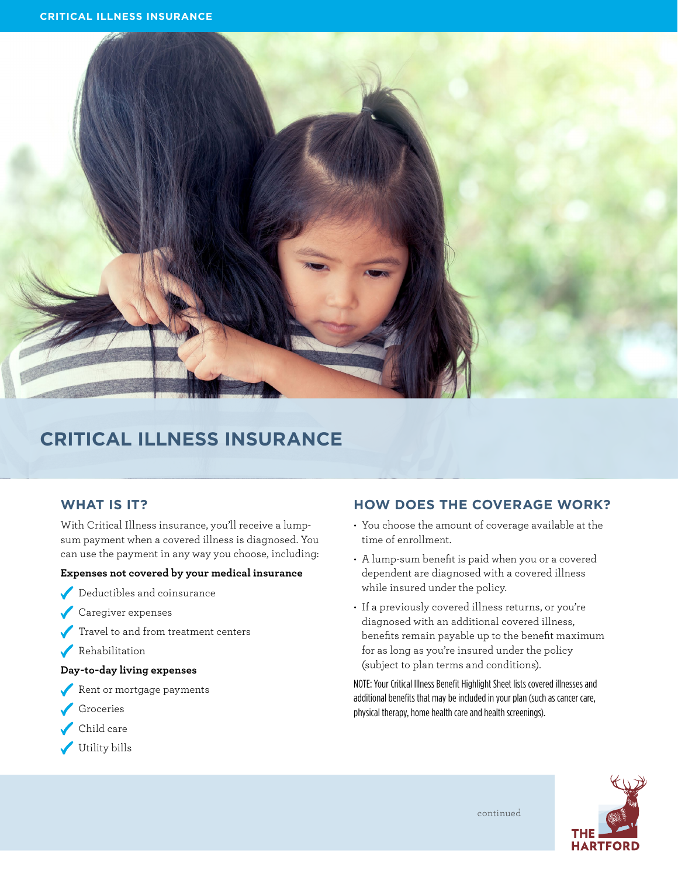

# **CRITICAL ILLNESS INSURANCE**

### **WHAT IS IT?**

With Critical Illness insurance, you'll receive a lumpsum payment when a covered illness is diagnosed. You can use the payment in any way you choose, including:

#### **Expenses not covered by your medical insurance**

- Deductibles and coinsurance
- Caregiver expenses
- Travel to and from treatment centers
- Rehabilitation

#### **Day-to-day living expenses**

- Rent or mortgage payments
- Groceries
- Child care
- Utility bills

### **HOW DOES THE COVERAGE WORK?**

- You choose the amount of coverage available at the time of enrollment.
- A lump-sum benefit is paid when you or a covered dependent are diagnosed with a covered illness while insured under the policy.
- If a previously covered illness returns, or you're diagnosed with an additional covered illness, benefits remain payable up to the benefit maximum for as long as you're insured under the policy (subject to plan terms and conditions).

NOTE: Your Critical Illness Benefit Highlight Sheet lists covered illnesses and additional benefits that may be included in your plan (such as cancer care, physical therapy, home health care and health screenings).



continued